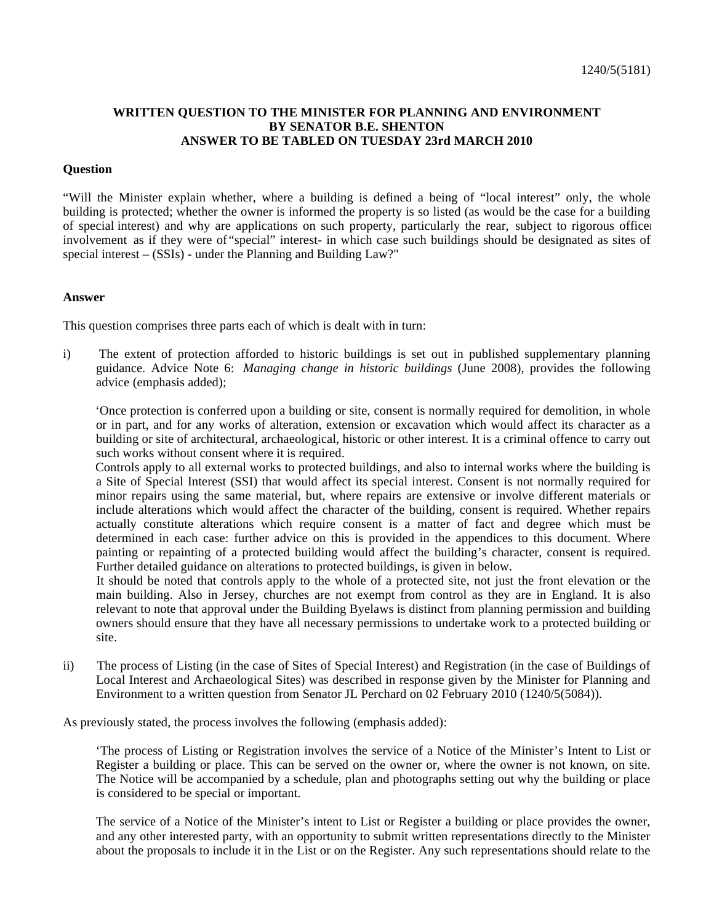## **WRITTEN QUESTION TO THE MINISTER FOR PLANNING AND ENVIRONMENT BY SENATOR B.E. SHENTON ANSWER TO BE TABLED ON TUESDAY 23rd MARCH 2010**

## **Question**

"Will the Minister explain whether, where a building is defined a being of "local interest" only, the whole building is protected; whether the owner is informed the property is so listed (as would be the case for a building of special interest) and why are applications on such property, particularly the rear, subject to rigorous officer involvement as if they were of "special" interest- in which case such buildings should be designated as sites of special interest – (SSIs) - under the Planning and Building Law?"

## **Answer**

This question comprises three parts each of which is dealt with in turn:

i) The extent of protection afforded to historic buildings is set out in published supplementary planning guidance. Advice Note 6: *Managing change in historic buildings* (June 2008), provides the following advice (emphasis added);

 'Once protection is conferred upon a building or site, consent is normally required for demolition, in whole or in part, and for any works of alteration, extension or excavation which would affect its character as a building or site of architectural, archaeological, historic or other interest. It is a criminal offence to carry out such works without consent where it is required.

 Controls apply to all external works to protected buildings, and also to internal works where the building is a Site of Special Interest (SSI) that would affect its special interest. Consent is not normally required for minor repairs using the same material, but, where repairs are extensive or involve different materials or include alterations which would affect the character of the building, consent is required. Whether repairs actually constitute alterations which require consent is a matter of fact and degree which must be determined in each case: further advice on this is provided in the appendices to this document. Where painting or repainting of a protected building would affect the building's character, consent is required. Further detailed guidance on alterations to protected buildings, is given in below.

 It should be noted that controls apply to the whole of a protected site, not just the front elevation or the main building. Also in Jersey, churches are not exempt from control as they are in England. It is also relevant to note that approval under the Building Byelaws is distinct from planning permission and building owners should ensure that they have all necessary permissions to undertake work to a protected building or site.

ii) The process of Listing (in the case of Sites of Special Interest) and Registration (in the case of Buildings of Local Interest and Archaeological Sites) was described in response given by the Minister for Planning and Environment to a written question from Senator JL Perchard on 02 February 2010 (1240/5(5084)).

As previously stated, the process involves the following (emphasis added):

 'The process of Listing or Registration involves the service of a Notice of the Minister's Intent to List or Register a building or place. This can be served on the owner or, where the owner is not known, on site. The Notice will be accompanied by a schedule, plan and photographs setting out why the building or place is considered to be special or important.

 The service of a Notice of the Minister's intent to List or Register a building or place provides the owner, and any other interested party, with an opportunity to submit written representations directly to the Minister about the proposals to include it in the List or on the Register. Any such representations should relate to the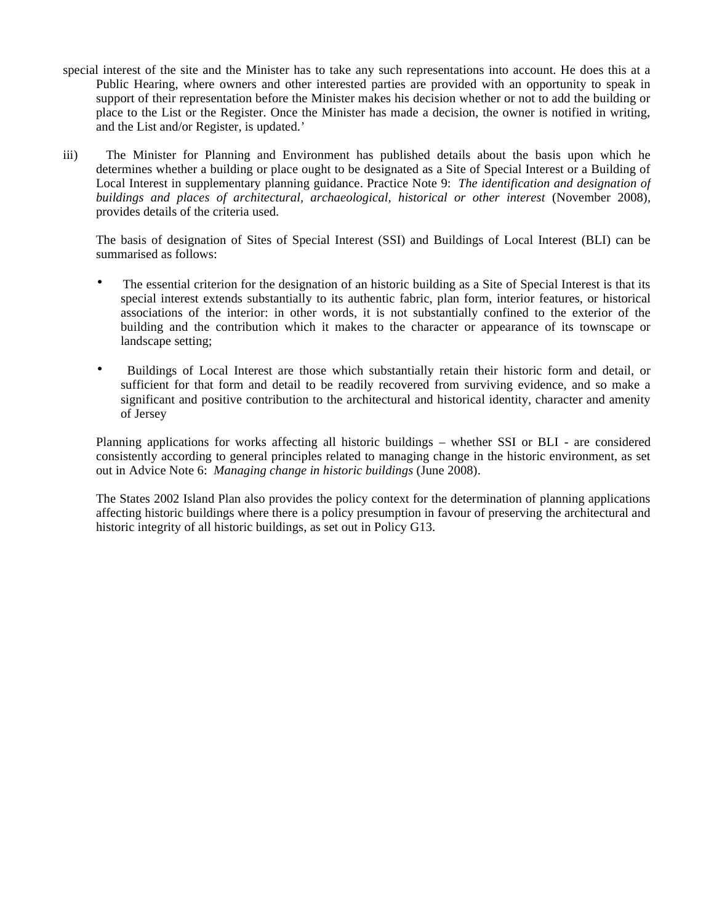- special interest of the site and the Minister has to take any such representations into account. He does this at a Public Hearing, where owners and other interested parties are provided with an opportunity to speak in support of their representation before the Minister makes his decision whether or not to add the building or place to the List or the Register. Once the Minister has made a decision, the owner is notified in writing, and the List and/or Register, is updated.'
- iii) The Minister for Planning and Environment has published details about the basis upon which he determines whether a building or place ought to be designated as a Site of Special Interest or a Building of Local Interest in supplementary planning guidance. Practice Note 9: *The identification and designation of buildings and places of architectural, archaeological, historical or other interest* (November 2008), provides details of the criteria used.

The basis of designation of Sites of Special Interest (SSI) and Buildings of Local Interest (BLI) can be summarised as follows:

- The essential criterion for the designation of an historic building as a Site of Special Interest is that its special interest extends substantially to its authentic fabric, plan form, interior features, or historical associations of the interior: in other words, it is not substantially confined to the exterior of the building and the contribution which it makes to the character or appearance of its townscape or landscape setting;
- Buildings of Local Interest are those which substantially retain their historic form and detail, or sufficient for that form and detail to be readily recovered from surviving evidence, and so make a significant and positive contribution to the architectural and historical identity, character and amenity of Jersey

Planning applications for works affecting all historic buildings – whether SSI or BLI - are considered consistently according to general principles related to managing change in the historic environment, as set out in Advice Note 6: *Managing change in historic buildings* (June 2008).

The States 2002 Island Plan also provides the policy context for the determination of planning applications affecting historic buildings where there is a policy presumption in favour of preserving the architectural and historic integrity of all historic buildings, as set out in Policy G13.